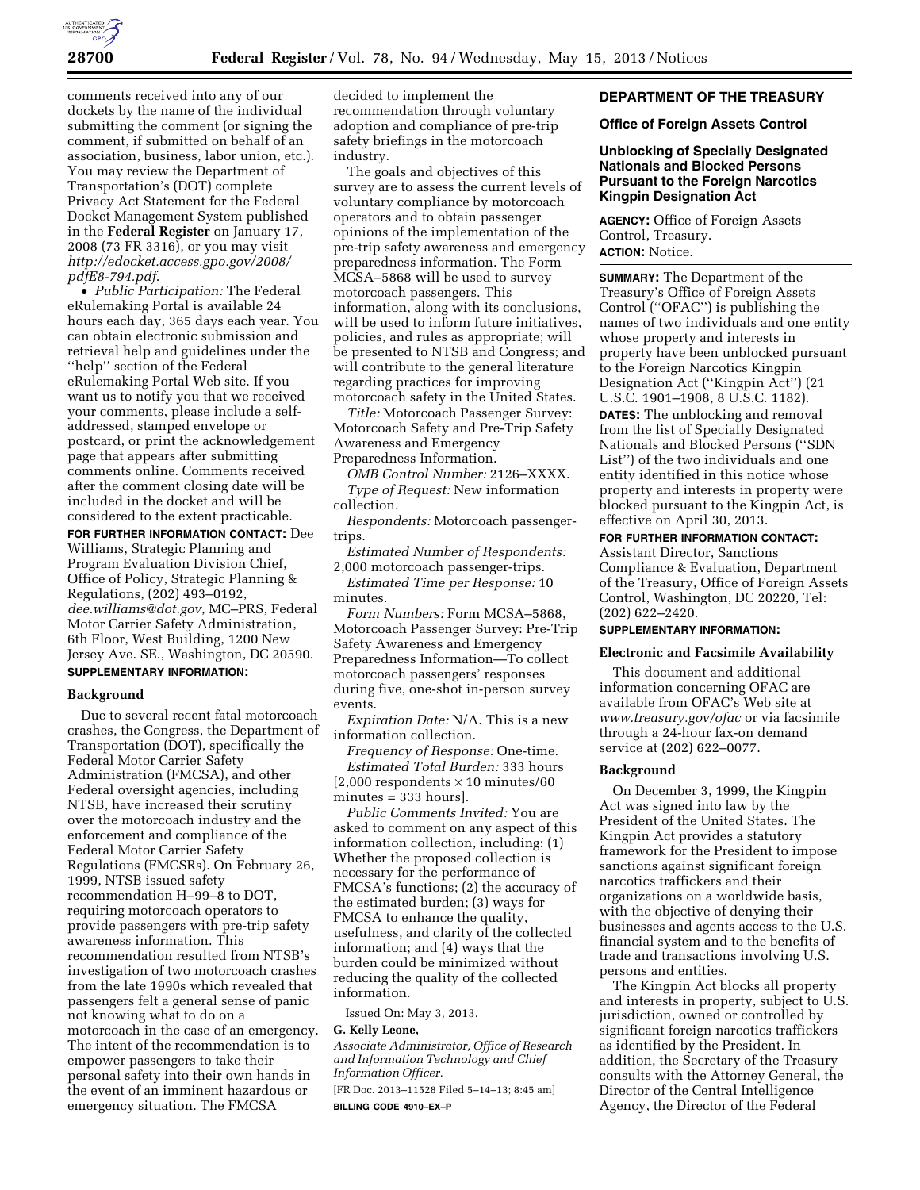

comments received into any of our dockets by the name of the individual submitting the comment (or signing the comment, if submitted on behalf of an association, business, labor union, etc.). You may review the Department of Transportation's (DOT) complete Privacy Act Statement for the Federal Docket Management System published in the **Federal Register** on January 17, 2008 (73 FR 3316), or you may visit *[http://edocket.access.gpo.gov/2008/](http://edocket.access.gpo.gov/2008/pdfE8-794.pdf)  [pdfE8-794.pdf](http://edocket.access.gpo.gov/2008/pdfE8-794.pdf)*.

• *Public Participation:* The Federal eRulemaking Portal is available 24 hours each day, 365 days each year. You can obtain electronic submission and retrieval help and guidelines under the ''help'' section of the Federal eRulemaking Portal Web site. If you want us to notify you that we received your comments, please include a selfaddressed, stamped envelope or postcard, or print the acknowledgement page that appears after submitting comments online. Comments received after the comment closing date will be included in the docket and will be considered to the extent practicable.

**FOR FURTHER INFORMATION CONTACT:** Dee Williams, Strategic Planning and Program Evaluation Division Chief, Office of Policy, Strategic Planning & Regulations, (202) 493–0192, *[dee.williams@dot.gov](mailto:dee.williams@dot.gov)*, MC–PRS, Federal Motor Carrier Safety Administration, 6th Floor, West Building, 1200 New Jersey Ave. SE., Washington, DC 20590. **SUPPLEMENTARY INFORMATION:** 

# **Background**

Due to several recent fatal motorcoach crashes, the Congress, the Department of Transportation (DOT), specifically the Federal Motor Carrier Safety Administration (FMCSA), and other Federal oversight agencies, including NTSB, have increased their scrutiny over the motorcoach industry and the enforcement and compliance of the Federal Motor Carrier Safety Regulations (FMCSRs). On February 26, 1999, NTSB issued safety recommendation H–99–8 to DOT, requiring motorcoach operators to provide passengers with pre-trip safety awareness information. This recommendation resulted from NTSB's investigation of two motorcoach crashes from the late 1990s which revealed that passengers felt a general sense of panic not knowing what to do on a motorcoach in the case of an emergency. The intent of the recommendation is to empower passengers to take their personal safety into their own hands in the event of an imminent hazardous or emergency situation. The FMCSA

decided to implement the recommendation through voluntary adoption and compliance of pre-trip safety briefings in the motorcoach industry.

The goals and objectives of this survey are to assess the current levels of voluntary compliance by motorcoach operators and to obtain passenger opinions of the implementation of the pre-trip safety awareness and emergency preparedness information. The Form MCSA–5868 will be used to survey motorcoach passengers. This information, along with its conclusions, will be used to inform future initiatives, policies, and rules as appropriate; will be presented to NTSB and Congress; and will contribute to the general literature regarding practices for improving motorcoach safety in the United States.

*Title:* Motorcoach Passenger Survey: Motorcoach Safety and Pre-Trip Safety Awareness and Emergency Preparedness Information.

*OMB Control Number:* 2126–XXXX. *Type of Request:* New information collection.

*Respondents:* Motorcoach passengertrips.

*Estimated Number of Respondents:*  2,000 motorcoach passenger-trips.

*Estimated Time per Response:* 10 minutes.

*Form Numbers:* Form MCSA–5868, Motorcoach Passenger Survey: Pre-Trip Safety Awareness and Emergency Preparedness Information—To collect motorcoach passengers' responses during five, one-shot in-person survey events.

*Expiration Date:* N/A. This is a new information collection.

*Frequency of Response:* One-time. *Estimated Total Burden:* 333 hours  $[2,000$  respondents  $\times$  10 minutes/60 minutes = 333 hours].

*Public Comments Invited:* You are asked to comment on any aspect of this information collection, including: (1) Whether the proposed collection is necessary for the performance of FMCSA's functions; (2) the accuracy of the estimated burden; (3) ways for FMCSA to enhance the quality, usefulness, and clarity of the collected information; and (4) ways that the burden could be minimized without reducing the quality of the collected information.

Issued On: May 3, 2013.

## **G. Kelly Leone,**

*Associate Administrator, Office of Research and Information Technology and Chief Information Officer.* 

[FR Doc. 2013–11528 Filed 5–14–13; 8:45 am] **BILLING CODE 4910–EX–P** 

# **DEPARTMENT OF THE TREASURY**

# **Office of Foreign Assets Control**

**Unblocking of Specially Designated Nationals and Blocked Persons Pursuant to the Foreign Narcotics Kingpin Designation Act** 

**AGENCY:** Office of Foreign Assets Control, Treasury. **ACTION:** Notice.

**SUMMARY:** The Department of the Treasury's Office of Foreign Assets Control (''OFAC'') is publishing the names of two individuals and one entity whose property and interests in property have been unblocked pursuant to the Foreign Narcotics Kingpin Designation Act (''Kingpin Act'') (21 U.S.C. 1901–1908, 8 U.S.C. 1182).

**DATES:** The unblocking and removal from the list of Specially Designated Nationals and Blocked Persons (''SDN List'') of the two individuals and one entity identified in this notice whose property and interests in property were blocked pursuant to the Kingpin Act, is effective on April 30, 2013.

# **FOR FURTHER INFORMATION CONTACT:**

Assistant Director, Sanctions Compliance & Evaluation, Department of the Treasury, Office of Foreign Assets Control, Washington, DC 20220, Tel: (202) 622–2420.

# **SUPPLEMENTARY INFORMATION:**

# **Electronic and Facsimile Availability**

This document and additional information concerning OFAC are available from OFAC's Web site at *[www.treasury.gov/ofac](http://www.treasury.gov/ofac)* or via facsimile through a 24-hour fax-on demand service at (202) 622–0077.

## **Background**

On December 3, 1999, the Kingpin Act was signed into law by the President of the United States. The Kingpin Act provides a statutory framework for the President to impose sanctions against significant foreign narcotics traffickers and their organizations on a worldwide basis, with the objective of denying their businesses and agents access to the U.S. financial system and to the benefits of trade and transactions involving U.S. persons and entities.

The Kingpin Act blocks all property and interests in property, subject to U.S. jurisdiction, owned or controlled by significant foreign narcotics traffickers as identified by the President. In addition, the Secretary of the Treasury consults with the Attorney General, the Director of the Central Intelligence Agency, the Director of the Federal